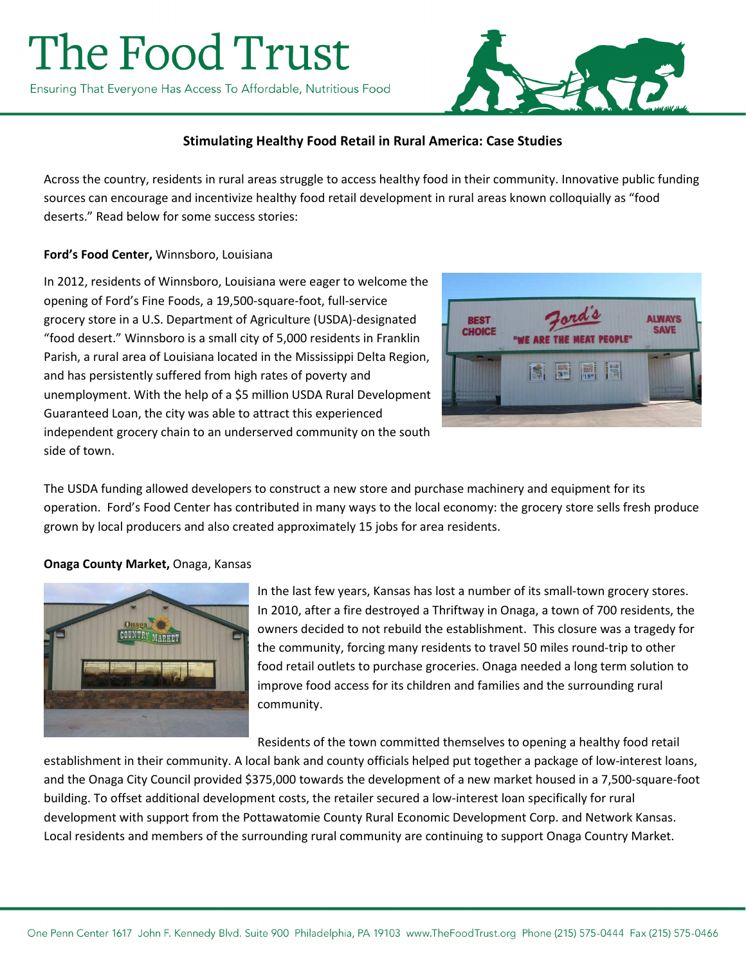# The Food Trust

Ensuring That Everyone Has Access To Affordable, Nutritious Food



## **Stimulating Healthy Food Retail in Rural America: Case Studies**

Across the country, residents in rural areas struggle to access healthy food in their community. Innovative public funding sources can encourage and incentivize healthy food retail development in rural areas known colloquially as "food deserts." Read below for some success stories:

#### **Ford's Food Center,** Winnsboro, Louisiana

In 2012, residents of Winnsboro, Louisiana were eager to welcome the opening of Ford's Fine Foods, a 19,500-square-foot, full-service grocery store in a U.S. Department of Agriculture (USDA)-designated "food desert." Winnsboro is a small city of 5,000 residents in Franklin Parish, a rural area of Louisiana located in the Mississippi Delta Region, and has persistently suffered from high rates of poverty and unemployment. With the help of a \$5 million USDA Rural Development Guaranteed Loan, the city was able to attract this experienced independent grocery chain to an underserved community on the south side of town.



The USDA funding allowed developers to construct a new store and purchase machinery and equipment for its operation. Ford's Food Center has contributed in many ways to the local economy: the grocery store sells fresh produce grown by local producers and also created approximately 15 jobs for area residents.

#### **Onaga County Market,** Onaga, Kansas



In the last few years, Kansas has lost a number of its small-town grocery stores. In 2010, after a fire destroyed a Thriftway in Onaga, a town of 700 residents, the owners decided to not rebuild the establishment. This closure was a tragedy for the community, forcing many residents to travel 50 miles round-trip to other food retail outlets to purchase groceries. Onaga needed a long term solution to improve food access for its children and families and the surrounding rural community.

Residents of the town committed themselves to opening a healthy food retail establishment in their community. A local bank and county officials helped put together a package of low-interest loans, and the Onaga City Council provided \$375,000 towards the development of a new market housed in a 7,500-square-foot building. To offset additional development costs, the retailer secured a low-interest loan specifically for rural development with support from the Pottawatomie County Rural Economic Development Corp. and Network Kansas. Local residents and members of the surrounding rural community are continuing to support Onaga Country Market.